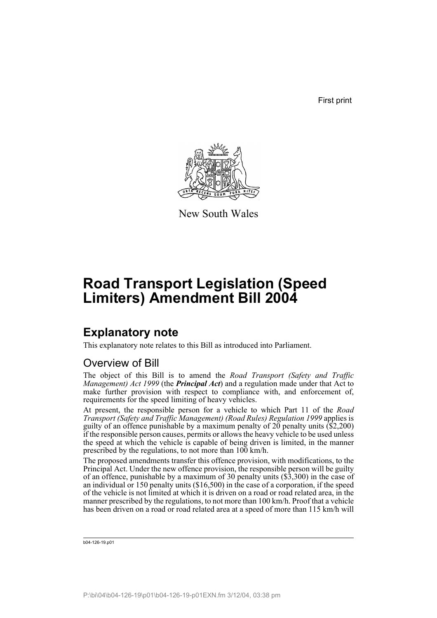First print



New South Wales

# **Road Transport Legislation (Speed Limiters) Amendment Bill 2004**

## **Explanatory note**

This explanatory note relates to this Bill as introduced into Parliament.

## Overview of Bill

The object of this Bill is to amend the *Road Transport (Safety and Traffic Management) Act 1999* (the *Principal Act*) and a regulation made under that Act to make further provision with respect to compliance with, and enforcement of, requirements for the speed limiting of heavy vehicles.

At present, the responsible person for a vehicle to which Part 11 of the *Road Transport (Safety and Traffic Management) (Road Rules) Regulation 1999* applies is guilty of an offence punishable by a maximum penalty of  $20$  penalty units  $(\$2,200)$ if the responsible person causes, permits or allows the heavy vehicle to be used unless the speed at which the vehicle is capable of being driven is limited, in the manner prescribed by the regulations, to not more than 100 km/h.

The proposed amendments transfer this offence provision, with modifications, to the Principal Act. Under the new offence provision, the responsible person will be guilty of an offence, punishable by a maximum of 30 penalty units  $(\$3,300)$  in the case of an individual or 150 penalty units (\$16,500) in the case of a corporation, if the speed of the vehicle is not limited at which it is driven on a road or road related area, in the manner prescribed by the regulations, to not more than 100 km/h. Proof that a vehicle has been driven on a road or road related area at a speed of more than 115 km/h will

b04-126-19.p01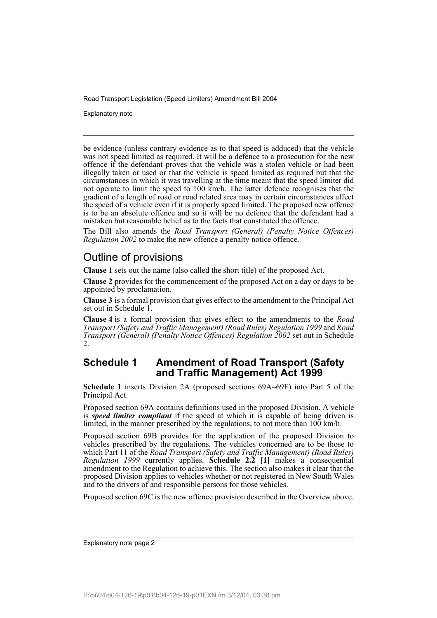Explanatory note

be evidence (unless contrary evidence as to that speed is adduced) that the vehicle was not speed limited as required. It will be a defence to a prosecution for the new offence if the defendant proves that the vehicle was a stolen vehicle or had been illegally taken or used or that the vehicle is speed limited as required but that the circumstances in which it was travelling at the time meant that the speed limiter did not operate to limit the speed to 100 km/h. The latter defence recognises that the gradient of a length of road or road related area may in certain circumstances affect the speed of a vehicle even if it is properly speed limited. The proposed new offence is to be an absolute offence and so it will be no defence that the defendant had a mistaken but reasonable belief as to the facts that constituted the offence.

The Bill also amends the *Road Transport (General) (Penalty Notice Offences) Regulation 2002* to make the new offence a penalty notice offence.

### Outline of provisions

**Clause 1** sets out the name (also called the short title) of the proposed Act.

**Clause 2** provides for the commencement of the proposed Act on a day or days to be appointed by proclamation.

**Clause 3** is a formal provision that gives effect to the amendment to the Principal Act set out in Schedule 1.

**Clause 4** is a formal provision that gives effect to the amendments to the *Road Transport (Safety and Traffic Management) (Road Rules) Regulation 1999* and *Road Transport (General) (Penalty Notice Offences) Regulation 2002* set out in Schedule  $\mathcal{D}$ 

### **Schedule 1 Amendment of Road Transport (Safety and Traffic Management) Act 1999**

**Schedule 1** inserts Division 2A (proposed sections 69A–69F) into Part 5 of the Principal Act.

Proposed section 69A contains definitions used in the proposed Division. A vehicle is *speed limiter compliant* if the speed at which it is capable of being driven is limited, in the manner prescribed by the regulations, to not more than 100 km/h.

Proposed section 69B provides for the application of the proposed Division to vehicles prescribed by the regulations. The vehicles concerned are to be those to which Part 11 of the *Road Transport (Safety and Traffic Management) (Road Rules) Regulation 1999* currently applies. **Schedule 2.2 [1]** makes a consequential amendment to the Regulation to achieve this. The section also makes it clear that the proposed Division applies to vehicles whether or not registered in New South Wales and to the drivers of and responsible persons for those vehicles.

Proposed section 69C is the new offence provision described in the Overview above.

Explanatory note page 2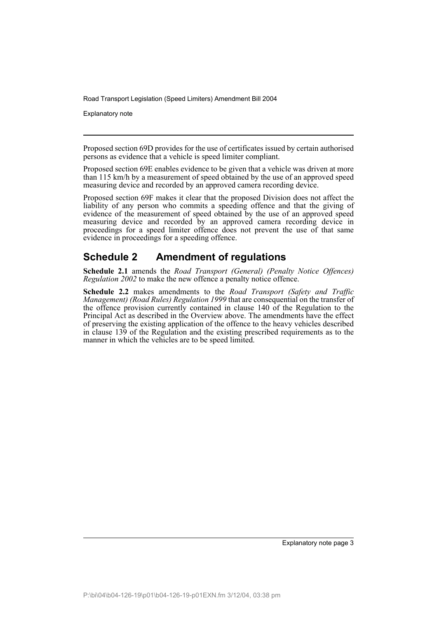Explanatory note

Proposed section 69D provides for the use of certificates issued by certain authorised persons as evidence that a vehicle is speed limiter compliant.

Proposed section 69E enables evidence to be given that a vehicle was driven at more than 115 km/h by a measurement of speed obtained by the use of an approved speed measuring device and recorded by an approved camera recording device.

Proposed section 69F makes it clear that the proposed Division does not affect the liability of any person who commits a speeding offence and that the giving of evidence of the measurement of speed obtained by the use of an approved speed measuring device and recorded by an approved camera recording device in proceedings for a speed limiter offence does not prevent the use of that same evidence in proceedings for a speeding offence.

## **Schedule 2 Amendment of regulations**

**Schedule 2.1** amends the *Road Transport (General) (Penalty Notice Offences) Regulation 2002* to make the new offence a penalty notice offence.

**Schedule 2.2** makes amendments to the *Road Transport (Safety and Traffic Management) (Road Rules) Regulation 1999* that are consequential on the transfer of the offence provision currently contained in clause 140 of the Regulation to the Principal Act as described in the Overview above. The amendments have the effect of preserving the existing application of the offence to the heavy vehicles described in clause 139 of the Regulation and the existing prescribed requirements as to the manner in which the vehicles are to be speed limited.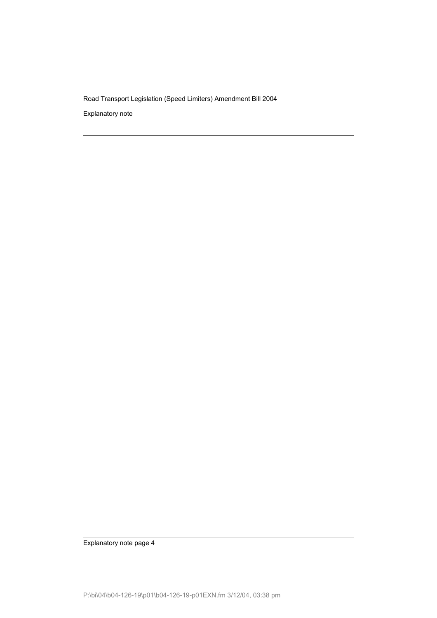Explanatory note

Explanatory note page 4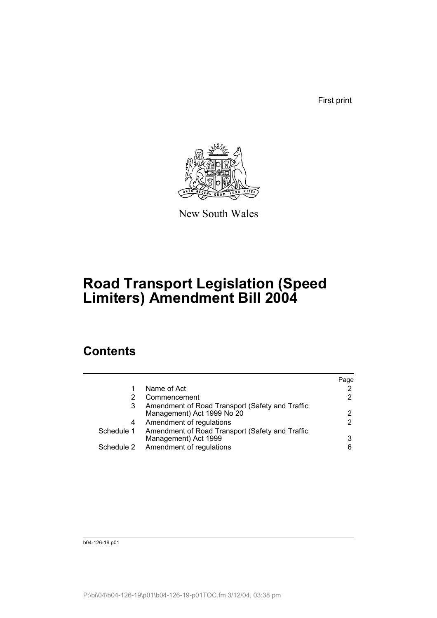First print



New South Wales

# **Road Transport Legislation (Speed Limiters) Amendment Bill 2004**

## **Contents**

|            |                                                 | Page                  |
|------------|-------------------------------------------------|-----------------------|
|            | Name of Act                                     | 2                     |
|            | Commencement                                    | $\mathbf{2}^{\prime}$ |
| 3          | Amendment of Road Transport (Safety and Traffic |                       |
|            | Management) Act 1999 No 20                      | $\overline{2}$        |
| 4          | Amendment of regulations                        | $\mathcal{P}$         |
| Schedule 1 | Amendment of Road Transport (Safety and Traffic |                       |
|            | Management) Act 1999                            | 3                     |
| Schedule 2 | Amendment of regulations                        | 6                     |

b04-126-19.p01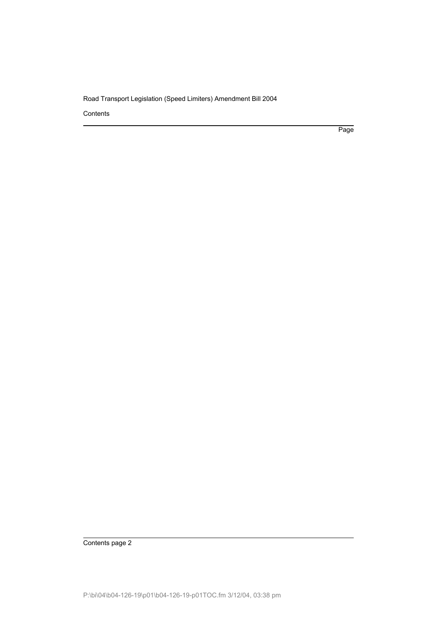**Contents** 

Page

Contents page 2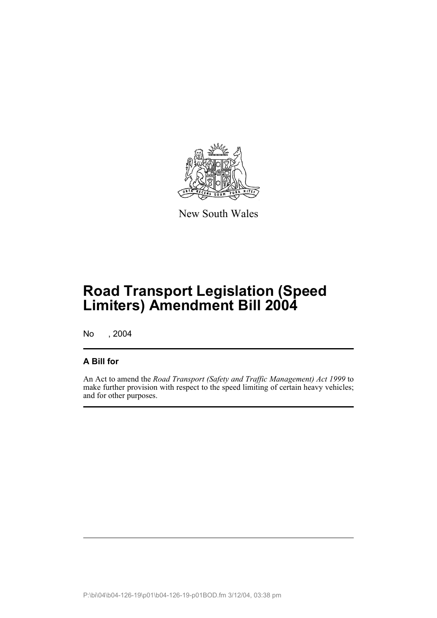

New South Wales

# **Road Transport Legislation (Speed Limiters) Amendment Bill 2004**

No , 2004

#### **A Bill for**

An Act to amend the *Road Transport (Safety and Traffic Management) Act 1999* to make further provision with respect to the speed limiting of certain heavy vehicles; and for other purposes.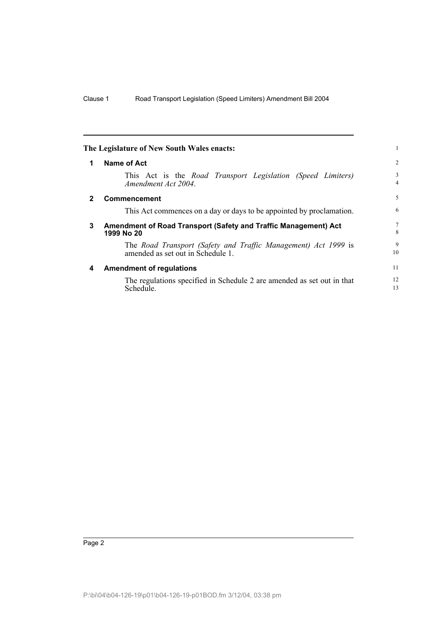|              | The Legislature of New South Wales enacts:                                                          |                     |
|--------------|-----------------------------------------------------------------------------------------------------|---------------------|
| 1            | Name of Act                                                                                         | $\overline{c}$      |
|              | This Act is the Road Transport Legislation (Speed Limiters)<br>Amendment Act 2004.                  | 3<br>$\overline{4}$ |
| $\mathbf{2}$ | Commencement                                                                                        | 5                   |
|              | This Act commences on a day or days to be appointed by proclamation.                                | 6                   |
| 3            | Amendment of Road Transport (Safety and Traffic Management) Act<br>1999 No 20                       | 7<br>8              |
|              | The Road Transport (Safety and Traffic Management) Act 1999 is<br>amended as set out in Schedule 1. | 9<br>10             |
| 4            | <b>Amendment of regulations</b>                                                                     | 11                  |
|              | The regulations specified in Schedule 2 are amended as set out in that<br>Schedule.                 | 12<br>13            |
|              |                                                                                                     |                     |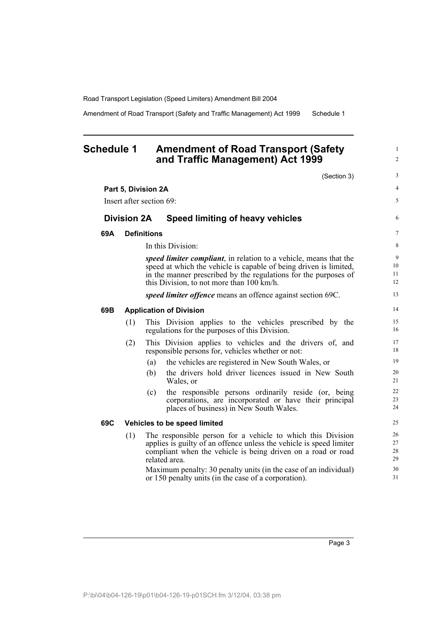Amendment of Road Transport (Safety and Traffic Management) Act 1999 Schedule 1

### **Schedule 1 Amendment of Road Transport (Safety and Traffic Management) Act 1999**

|     |                          |                    | (Section 3)                                                                                                                                                                                                                                            | 3                    |
|-----|--------------------------|--------------------|--------------------------------------------------------------------------------------------------------------------------------------------------------------------------------------------------------------------------------------------------------|----------------------|
|     | Part 5, Division 2A      |                    |                                                                                                                                                                                                                                                        | 4                    |
|     | Insert after section 69: |                    |                                                                                                                                                                                                                                                        | 5                    |
|     |                          |                    |                                                                                                                                                                                                                                                        | 6                    |
|     | <b>Division 2A</b>       |                    | Speed limiting of heavy vehicles                                                                                                                                                                                                                       |                      |
| 69A |                          | <b>Definitions</b> |                                                                                                                                                                                                                                                        | $\tau$               |
|     |                          |                    | In this Division:                                                                                                                                                                                                                                      | 8                    |
|     |                          |                    | speed limiter compliant, in relation to a vehicle, means that the<br>speed at which the vehicle is capable of being driven is limited,<br>in the manner prescribed by the regulations for the purposes of<br>this Division, to not more than 100 km/h. | 9<br>10<br>11<br>12  |
|     |                          |                    | speed limiter offence means an offence against section 69C.                                                                                                                                                                                            | 13                   |
| 69B |                          |                    | <b>Application of Division</b>                                                                                                                                                                                                                         | 14                   |
|     | (1)                      |                    | This Division applies to the vehicles prescribed by the<br>regulations for the purposes of this Division.                                                                                                                                              | 15<br>16             |
|     | (2)                      |                    | This Division applies to vehicles and the drivers of, and<br>responsible persons for, vehicles whether or not:                                                                                                                                         | 17<br>18             |
|     |                          | (a)                | the vehicles are registered in New South Wales, or                                                                                                                                                                                                     | 19                   |
|     |                          | (b)                | the drivers hold driver licences issued in New South<br>Wales, or                                                                                                                                                                                      | 20<br>21             |
|     |                          | (c)                | the responsible persons ordinarily reside (or, being<br>corporations, are incorporated or have their principal<br>places of business) in New South Wales.                                                                                              | 22<br>23<br>24       |
| 69C |                          |                    | Vehicles to be speed limited                                                                                                                                                                                                                           | 25                   |
|     | (1)                      |                    | The responsible person for a vehicle to which this Division<br>applies is guilty of an offence unless the vehicle is speed limiter<br>compliant when the vehicle is being driven on a road or road<br>related area.                                    | 26<br>27<br>28<br>29 |
|     |                          |                    | Maximum penalty: 30 penalty units (in the case of an individual)<br>or 150 penalty units (in the case of a corporation).                                                                                                                               | 30<br>31             |

Page 3

1  $\overline{2}$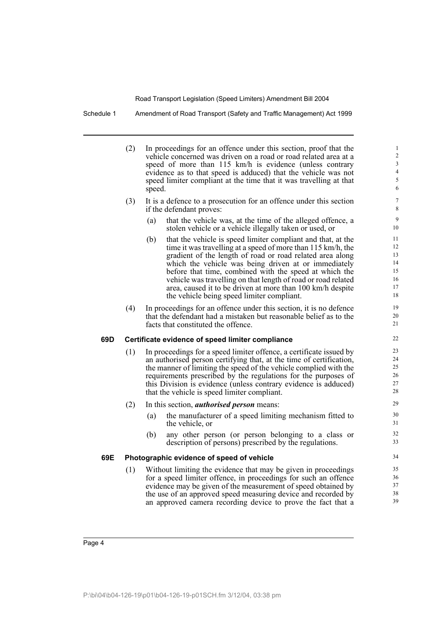Schedule 1 Amendment of Road Transport (Safety and Traffic Management) Act 1999

- (2) In proceedings for an offence under this section, proof that the vehicle concerned was driven on a road or road related area at a speed of more than 115 km/h is evidence (unless contrary evidence as to that speed is adduced) that the vehicle was not speed limiter compliant at the time that it was travelling at that speed.
- (3) It is a defence to a prosecution for an offence under this section if the defendant proves:
	- (a) that the vehicle was, at the time of the alleged offence, a stolen vehicle or a vehicle illegally taken or used, or

- (b) that the vehicle is speed limiter compliant and that, at the time it was travelling at a speed of more than 115 km/h, the gradient of the length of road or road related area along which the vehicle was being driven at or immediately before that time, combined with the speed at which the vehicle was travelling on that length of road or road related area, caused it to be driven at more than 100 km/h despite the vehicle being speed limiter compliant.
- (4) In proceedings for an offence under this section, it is no defence that the defendant had a mistaken but reasonable belief as to the facts that constituted the offence.

#### **69D Certificate evidence of speed limiter compliance**

(1) In proceedings for a speed limiter offence, a certificate issued by an authorised person certifying that, at the time of certification, the manner of limiting the speed of the vehicle complied with the requirements prescribed by the regulations for the purposes of this Division is evidence (unless contrary evidence is adduced) that the vehicle is speed limiter compliant.

#### (2) In this section, *authorised person* means:

- (a) the manufacturer of a speed limiting mechanism fitted to the vehicle, or
- (b) any other person (or person belonging to a class or description of persons) prescribed by the regulations.

#### **69E Photographic evidence of speed of vehicle**

(1) Without limiting the evidence that may be given in proceedings for a speed limiter offence, in proceedings for such an offence evidence may be given of the measurement of speed obtained by the use of an approved speed measuring device and recorded by an approved camera recording device to prove the fact that a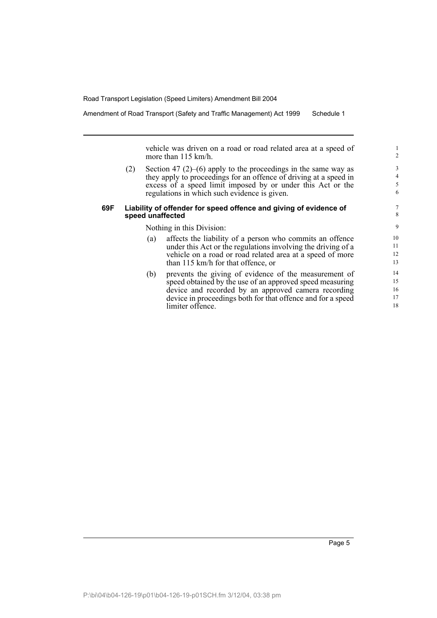Amendment of Road Transport (Safety and Traffic Management) Act 1999 Schedule 1

vehicle was driven on a road or road related area at a speed of more than 115 km/h.

(2) Section 47 (2)–(6) apply to the proceedings in the same way as they apply to proceedings for an offence of driving at a speed in excess of a speed limit imposed by or under this Act or the regulations in which such evidence is given.

#### **69F Liability of offender for speed offence and giving of evidence of speed unaffected**

Nothing in this Division:

- (a) affects the liability of a person who commits an offence under this Act or the regulations involving the driving of a vehicle on a road or road related area at a speed of more than 115 km/h for that offence, or
- (b) prevents the giving of evidence of the measurement of speed obtained by the use of an approved speed measuring device and recorded by an approved camera recording device in proceedings both for that offence and for a speed limiter offence.